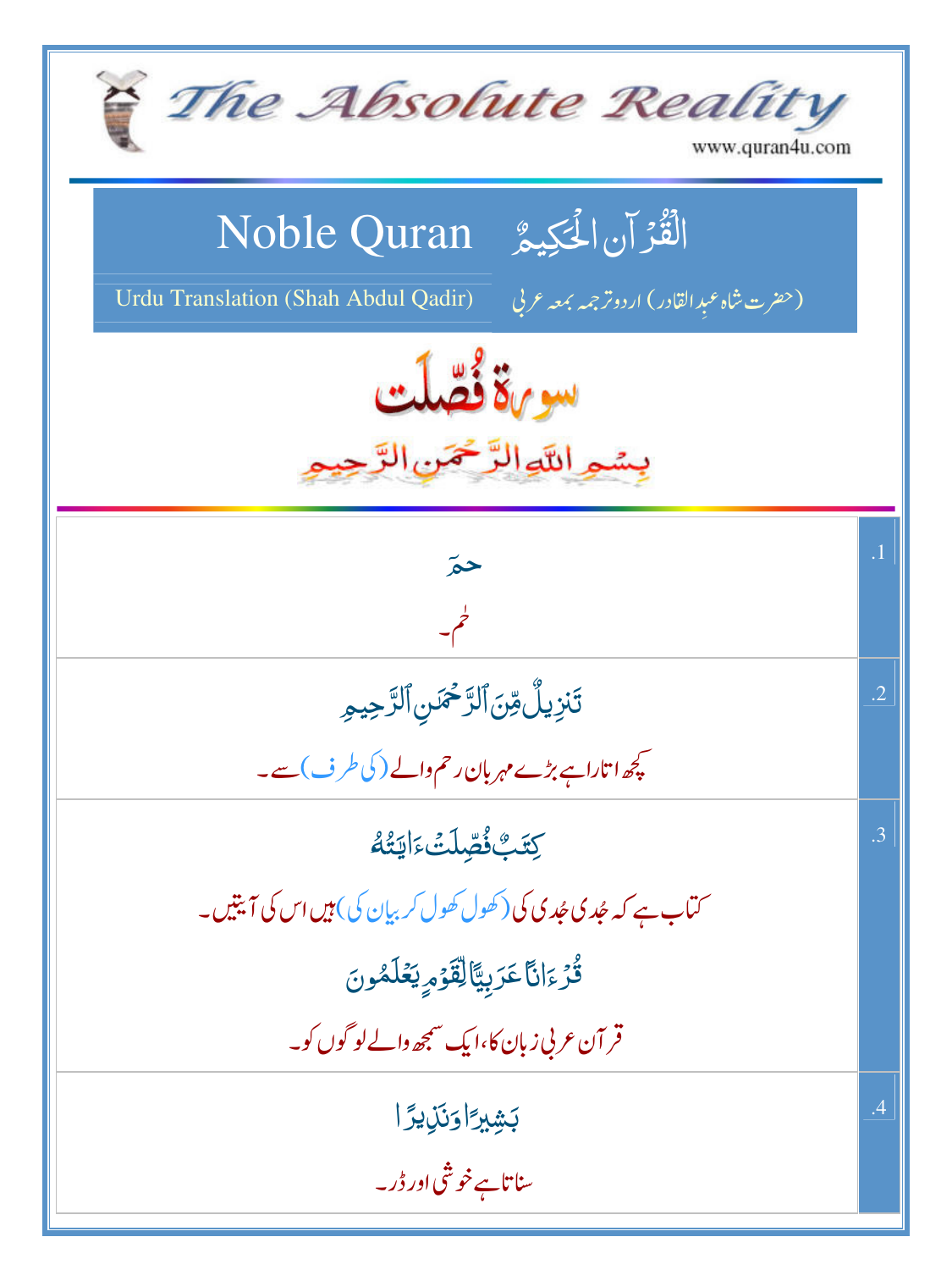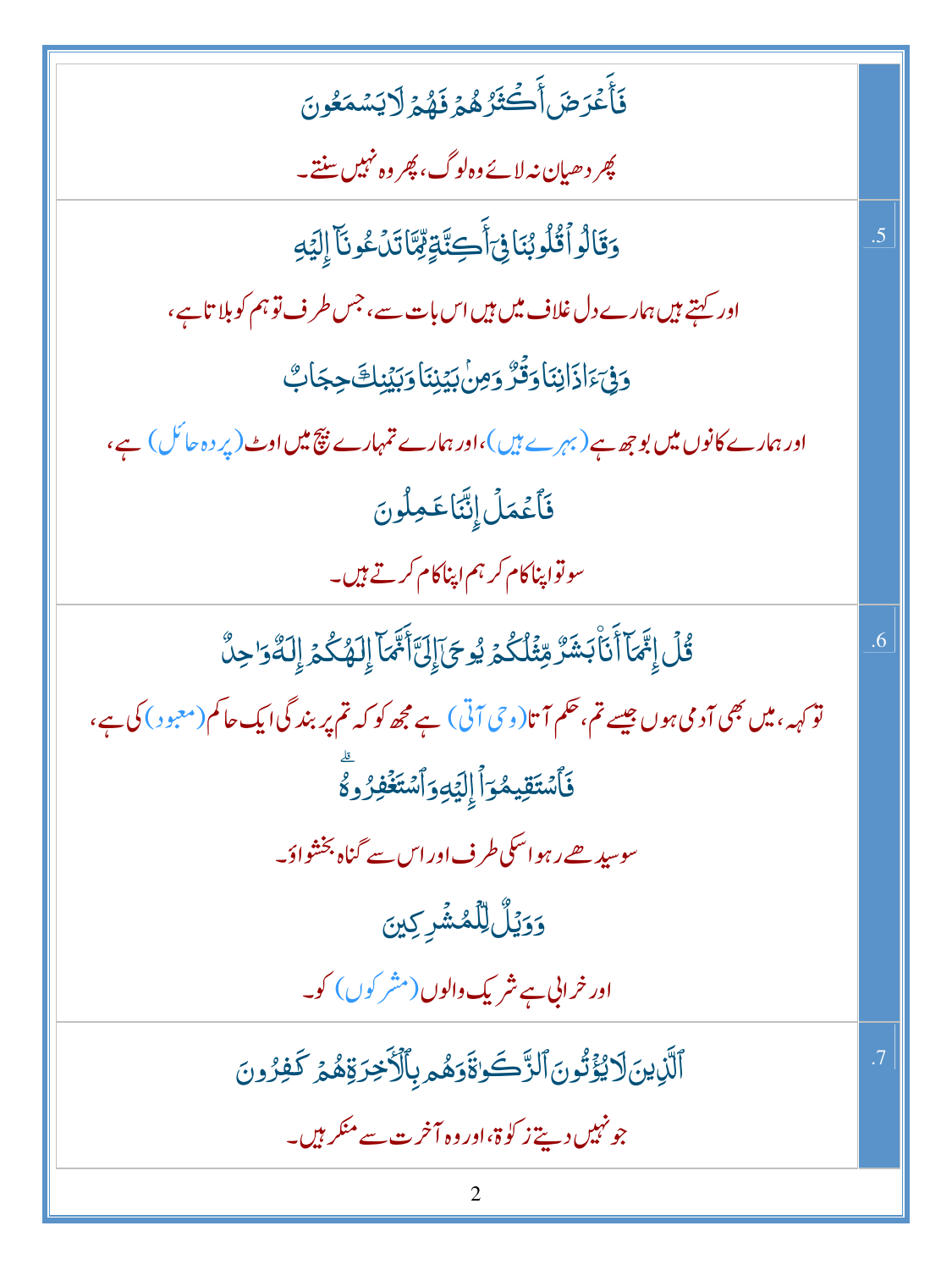| فَأَعْرَضَأَكْثَرُهُمْ فَهُمُرَلَايَسْمَعُونَ                                                                                 |                 |
|-------------------------------------------------------------------------------------------------------------------------------|-----------------|
| پھر دھیان نہ لائےوہ لوگ، پھر وہ نہیں سنتے۔                                                                                    |                 |
| وَقَالُواْقُلُوبُنَافِيَٓأَكِنَّةٍمِّمَّاتَدُعُونَآ إِلَيۡهِ                                                                  | $.5\,$          |
| اور کہتے ہیں ہمارے دل غلاف میں ہیں اس بات سے، جس طرف تو ہم کو بلا تاہے،                                                       |                 |
| وَفِيَّ اذَانِنَا وَقَرَّ وَمِنْ بَيْنِنَا وَبَيْنِكَ حِجَابٌ                                                                 |                 |
| اور ہمارے کانوں میں بو جھ ہے (بہرے ہیں )،اور ہمارے تمہارے پیچ میں اوٹ (پر دہ حائل ) ہے،                                       |                 |
| فَأَعۡمَلۡ إِنَّنَاعَمِلُونَ                                                                                                  |                 |
| سوتواپناکام کر ہم اپناکام کرتے ہیں۔                                                                                           |                 |
| <u>ػؙڶٙٳ</u> ۥٙٙۜ۠ٙۿٵٙٲؘٮۧٲٛڹۺؘڒ۠ۊؚؿ۬ڶػ۠ؽٙ؉ٟۅڿؘٳٙٳڶٵۧ <sup>ڲ</sup> ۿٵۧٳؚڶۿػ۠ؽٙٳؚڶڡؓۏ۬ڂٟڹۨ۠                                    | .6              |
| تو <sub>کہہ</sub> ، میں بھی آدمی ہوں جیسے تم، حکم آ تا(و <sup>حی</sup> آتی) ہے مجھ کو کہ تم پر بند گی ایک حاکم(معبود) کی ہے ، |                 |
| ۏ <i>ٙ</i> ٲۺۘٙؾٙقؚۑڡ۠ۏٲٳٳؽٙۅؚۏٲۺؾؘۼ۬ڣۯۅؖؖڴ                                                                                   |                 |
| سوسید ھے رہو اسکی طرف اور اس سے گناہ بخشواؤ۔                                                                                  |                 |
| <b>وَوَيُّلُّ</b> لِلْمُشْرِكِينَ                                                                                             |                 |
| اور خرابی ہے شریک والوں (مشر کوں) کو۔                                                                                         |                 |
| ٱلَّٰٓڹۣ؈ؘۣٳٲؽ۠ۯؚٙٞٞڷۏڹۘٱڶڗۘ۠ۜٙۜ؎ؘٷۊؘۏۿۄؠٲ۠ڷٲٚڿڒۊۿؽ؏ػڣۯۄڹ                                                                     | $\overline{.7}$ |
| جو نہیں دیتے ز کوۃ،اور وہ آخرت سے منکر ہیں۔                                                                                   |                 |
|                                                                                                                               |                 |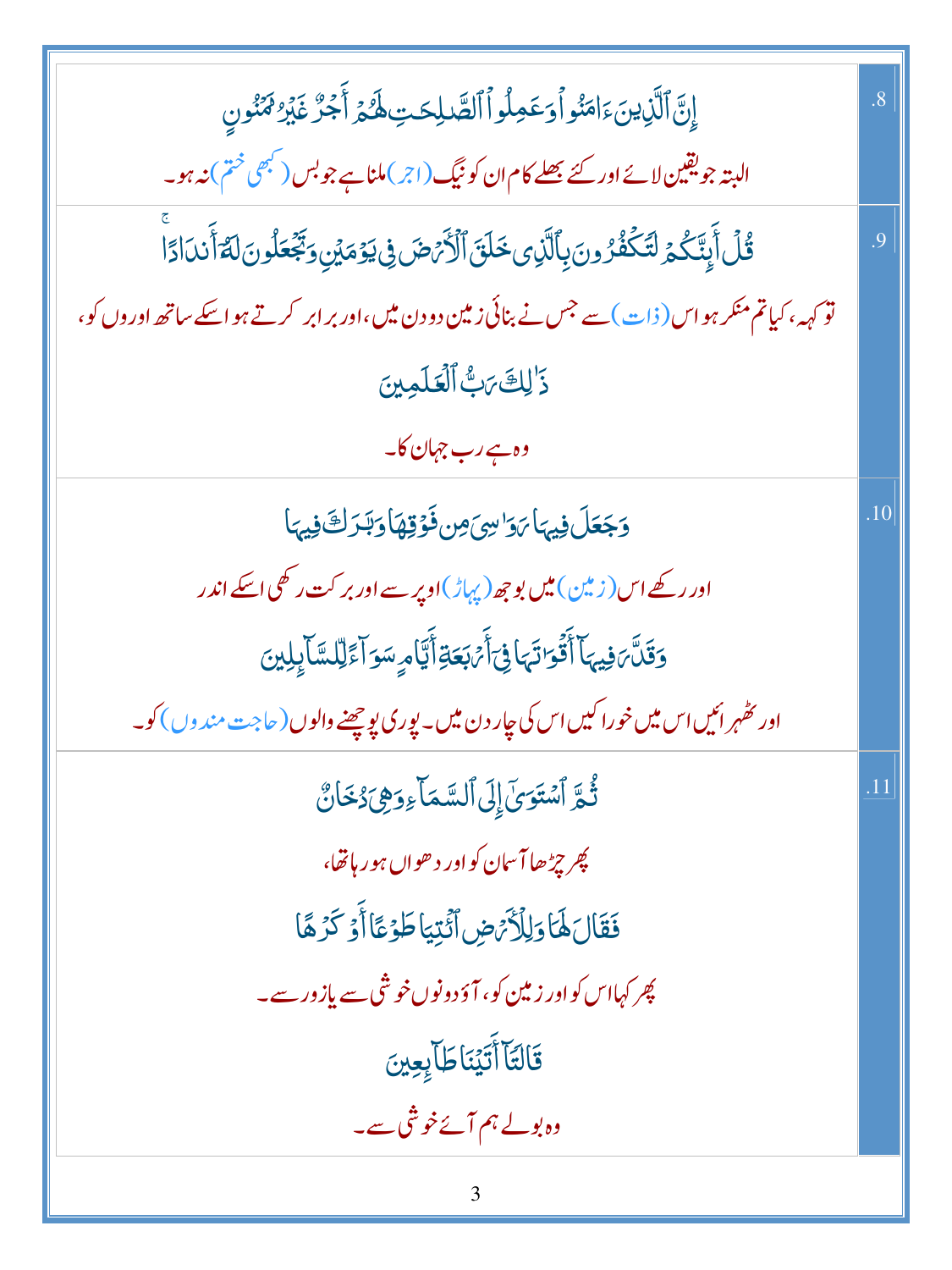| إِنَّ ٱلَّذِينَ ءَامَنُو أَوَعَمِلُواْ ٱلصَّلِحَتِ لَهُمَّ أَجُرٌّ غَيْرُ مَمَّنُونِ                                | $\overline{8}$ |
|---------------------------------------------------------------------------------------------------------------------|----------------|
| البتہ جویقین لائے اور کئے <u>بھلے</u> کام ان کو نیگ (اجر) ملناہے جو بس ( <sup>کبھ</sup> ی <sup>خت</sup> م ) نہ ہو۔  |                |
| قُلۡ أَبِنَّكُمۡ لَتَكۡفُرُونَ بِٱلَّذِى خَلَقَ ٱلۡأَمۡضَ فِى يَوۡمَيۡنِ وَبَجۡعَلُونَ لَمَّ أَننَادًا              | $\overline{9}$ |
| نو <sub>کہہ</sub> ، کیاتم منکر ہو اس ( ذات ) سے جس نے بنائی زمین دو دن میں ،اور بر ابر کرتے ہو اسکے ساتھ اوروں کو ، |                |
| ذَالِكَ مَبُّ ٱلْعَلَمِينَ                                                                                          |                |
| وہ ہے رب جہان کا۔                                                                                                   |                |
| وَجَعَلَ فِيهَا يَوَاسِيَ مِن فَوْقِهَا وَبَدَلْتَ فِيهَا                                                           | .10            |
| اور رکھے اس (زمین) <b>میں بو ج</b> ھ (پہاڑ)او پر سے اور بر کت رکھی اسکے اندر                                        |                |
| وَقَلَّ َفِيهَا أَقُوَاتَهَا فِىٓأَمْهَعَةِۚأَيَّامٍ سَوَآءً لِلسَّاَبِلِينَ                                        |                |
| اور حفہر ائیں اس میں خورا کیں اس کی جار دن میں۔ یوری یو چھنے والوں ( حاجت مندوں ) کو۔                               |                |
| ثُمَّ ٱسۡتَوَىٰٓ إِلَى ٱلسَّمَآ ءِوَهِىَ دُخَانٌ                                                                    |                |
| <i>پھر چڑھ</i> ا آسان کو اور دھواں ہور ہاتھا،                                                                       |                |
| فَقَالَ لَهَا وَلِلْأَيْرَضِ أَنُّتِيَا طَوْعًا أَوْ كَرُهًا                                                        |                |
| پھر کہااس کو اور زمین کو، آؤ دونوں خوشی سے پازور سے۔                                                                |                |
| قَالتَآ أَتَيۡنَاطَآ بِعِينَ                                                                                        |                |
| وہ بولے ہم آئےخوشی سے۔                                                                                              |                |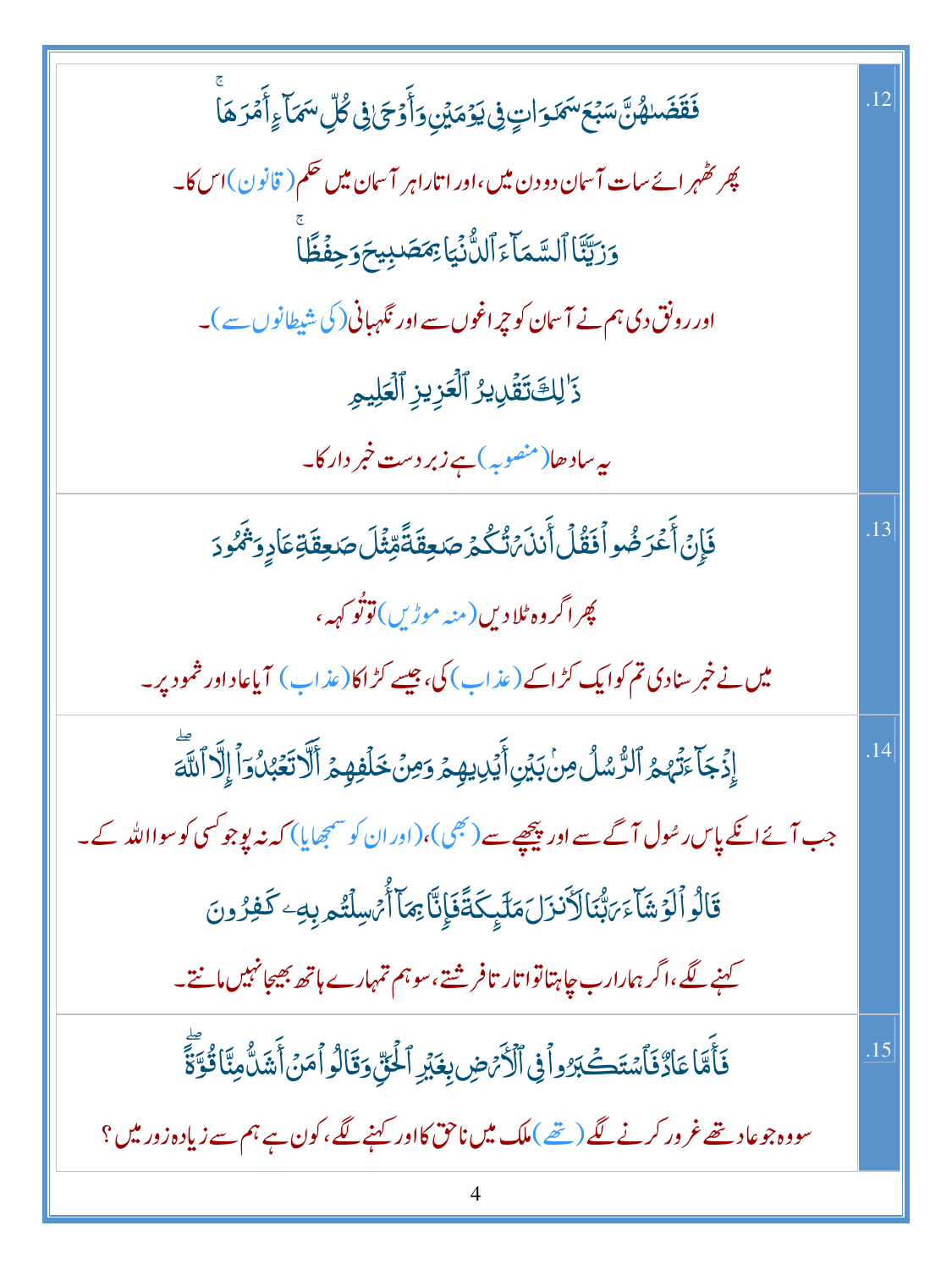| <b>ۘڡؘ۫قؘڞؘٮ</b> ۿ۠ڽ۠ۜۺڹۘٙ <sup>ۣ</sup> ٙػۺ <i>ػ</i> ۅٙٳؾٟ؋ۣۑؘۏٙڝٙؿڹۣۅٙٲٛۏٙۘػۣٙ؋ۣڴڵؚۺؘڡؘٵۧءٟٲٞۿؘۯۿٲۨ    | <sup>12</sup> |
|---------------------------------------------------------------------------------------------------------|---------------|
| چر کٹھرائےسات آسان دو دن میں،اور اتاراہر آسان میں حکم( قانون)اس کا۔                                     |               |
| وَرَيَّنَّا ٱلسَّمَآءَ ٱلنُّنۡيَاۚ <i>بِمَصَ</i> دِيحَوَحِفۡظَّا                                        |               |
| اور رونق دی ہم نے آسان کو چراغوں سے اور نگہبانی( کی شیطانوں سے )۔                                       |               |
| ذَٰلِكَتَقَٰلِيرُ ٱلۡعَزِيزِ ٱلۡعَلِيمِ                                                                 |               |
| ىيەسادھا(منصوبہ) ہ <mark>ے زبر دست خمبر دار کا۔</mark>                                                  |               |
| فَإِنۡ أَعۡدَضُواۡفَقُلۡ أَننَہُنُّكُمۡ صَنِعِقَةًمِّثۡلَ صَنِعِقَةِعَادٍوَیۡمُودَ                      | .13           |
| پھر اگر وہ <sup>ب</sup> لا دیں(منہ موڑیں) توٹو کہہ،                                                     |               |
| میں نے خبر سنادی تم کوایک کڑاکے (عذاب) کی، جیسے کڑاکا(عذاب) آیاعاداور شمو د پر۔                         |               |
| إِذۡجَآءَتَٰهُمُ ٱلرُّسُلُ مِنۡ بَيۡنِ أَيۡلِيهِمۡ وَمِنۡ خَلۡفِهِمۡ ٱلۡاَتَّعۡبُٰنُوٓاۡ إِلَّآ ٱللَّهَ | .14           |
| جب آئے ایک پاس رسُول آگے سے اور پیچھیے سے ( بھی )،(اور ان کو سمجھایا) کہ نہ پو جو کسی کو سوااللہ کے۔    |               |
| قَالُواۡ لَوۡشَآءَ رَبُّنَالَاَنزَلَمَلَيۡكَةً فَإِنَّآ مِمَآ أُرۡسِلۡتُم بِهِۦ كَفِرُونَ               |               |
| ۔<br>کہنے لگے ،اگر ہمارارب <mark>چاہتاتوا تار تافر شتے</mark> ،سو ہم تمہارے ہاتھ بھیجانہیں مانتے۔       |               |
| فَأَمَّا عَادٌ فَأَسْتَكَبَرُواْ فِى ٱلْأَرْضِ بِغَيْرِ ٱلْحَقِّ وَقَالُواْ مَنْ أَشَلُّ مِنَّا قُوَّةً | .15           |
| سووہ جو عاد تھے غرور کرنے لگے (تھے)ملک میں ناحق کااور کہنے لگے،کون ہے ہم سے زیادہ زور میں؟              |               |
|                                                                                                         |               |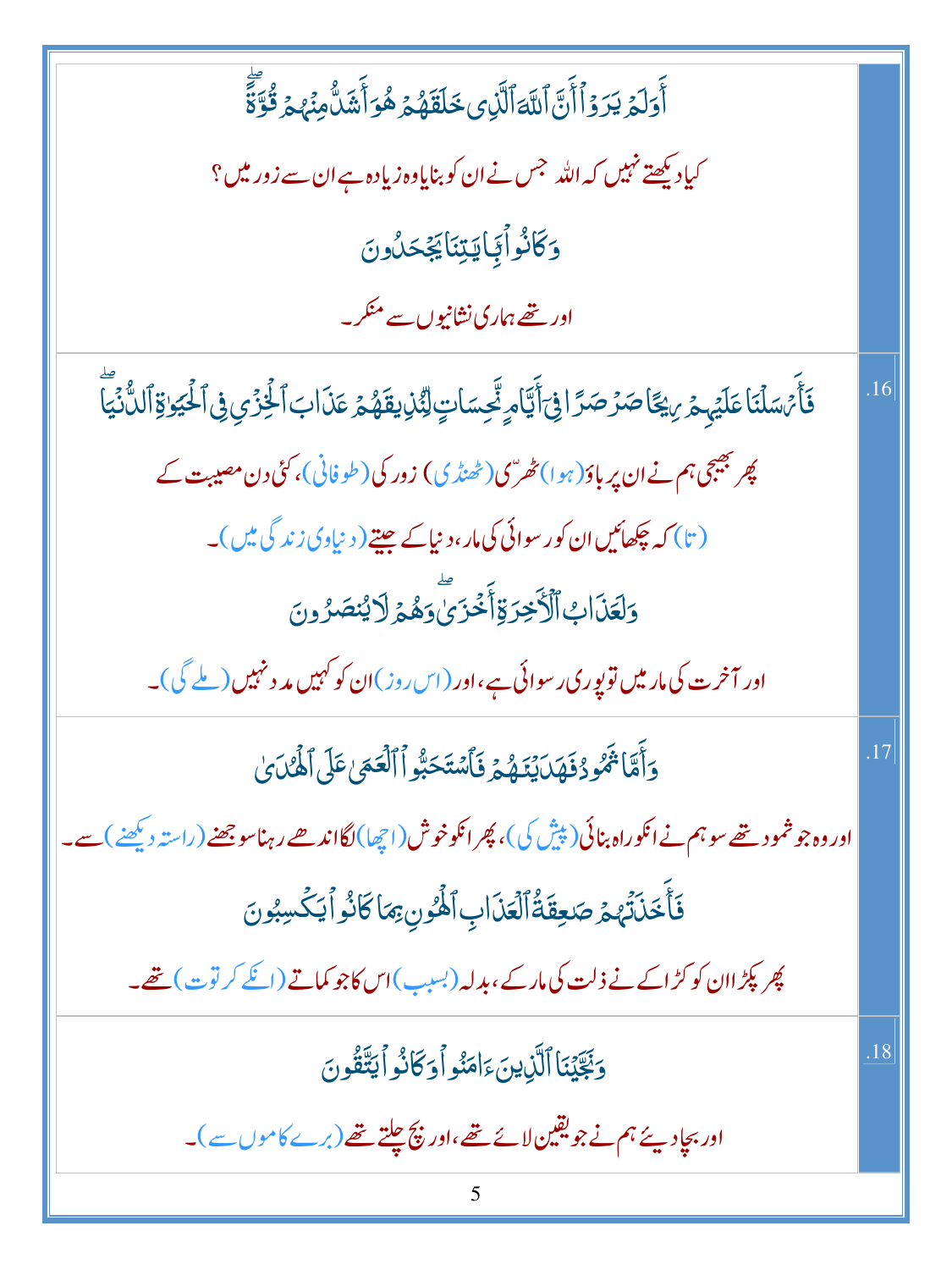| ٲۧۅؘڶ <sub>ۿ</sub> ؾۯۏٲٲؘڹ <mark>ؖ</mark> ۩ۜڐٲڷۜڹ؈ <i>ڂ</i> ڶڦؘۿؽ؋ۿۊٲۧۺؘۮۨ۠ڡؚڹٙٛؠؽ؋ۘؾؖٞٞٙٞٙٙٞ                                  |     |
|--------------------------------------------------------------------------------------------------------------------------------|-----|
| کیاد کیھتے نہیں کہ اللہ جس نے ان کو بنایاوہ زیادہ ہے ان سے زور میں ؟                                                           |     |
| وَكَانُواْيَايَتِنَايَجُحَدُونَ                                                                                                |     |
| اور تھے ہماری نشانیوں سے منکر۔                                                                                                 |     |
| فَأَمَسَلَنَا عَلَيۡهِمۡ رِيۡكَاصَرۡصَرَّافِیۡأَيَّامٍ نِّحِسَاتٍ لِنُّذِیقَهُمۡ عَذَابَ ٱلۡخُزۡیِ فِی ٱلٰۡٓیَاوَٱللَّٰٓنَٰیَآ | .16 |
| پھر بھیجی ہم نے ان پر باؤ( ہوا)ٹھریں(ٹھنڈ کی) زور کی( طوفانی)، کئی دن مصیبت کے                                                 |     |
| (تا) کہ چکھائیں ان کور سوائی کی مار، دنیاکے جیتے ( دنیاوی زندگی میں )۔                                                         |     |
| وَلَعَذَابُ ٱلۡأَخِرَةِٲۡخُزَىٰٓوَهُمۡ(لَایُنصَرُونَ                                                                           |     |
| اور آخرت کی مار میں تو پوری رسوائی ہے،اور (اس روز)ان کو کہیں مد د نہیں ( ملے گی)۔                                              |     |
| وَأَمَّا تَمُّودُفَهَدَيْنَهُمْ فَأَسْتَحَبُّواْ ٱلْعَمَىٰ عَلَى ٱلْهُدَىٰ                                                     | .17 |
| اور وہ جو شمو دیتھے سو ہم نے انکوراہ بنائی( پیش کی )، پھر انکوخوش (اچھا)لگااند ھے رہناسو جھنے (راستہ دیکھنے ) سے               |     |
| فَأَخَلَتَهُمْ صَعِقَةُ ٱلْعَلَاابِ ٱلْهُونِ بِمَاكَانُواْ يَكْسِبُونَ                                                         |     |
| پھر پکڑ اان کو کڑ اکے نے ذلت کی مار کے ،بدلہ (بسبب)اس کاجو کماتے (انکے کر توت) تھے۔                                            |     |
| وَبَجَّيۡنَاۚ ٱلَّٰٓذِينَءَامَنُو أَوَكَانُواۡ ٱيَتَّقُونَ                                                                     | .18 |
| ادر بجادیئے ہم نے جویقین لائے تھے،اور پچ چلتے تھے(برے کاموں سے)۔                                                               |     |
| 5                                                                                                                              |     |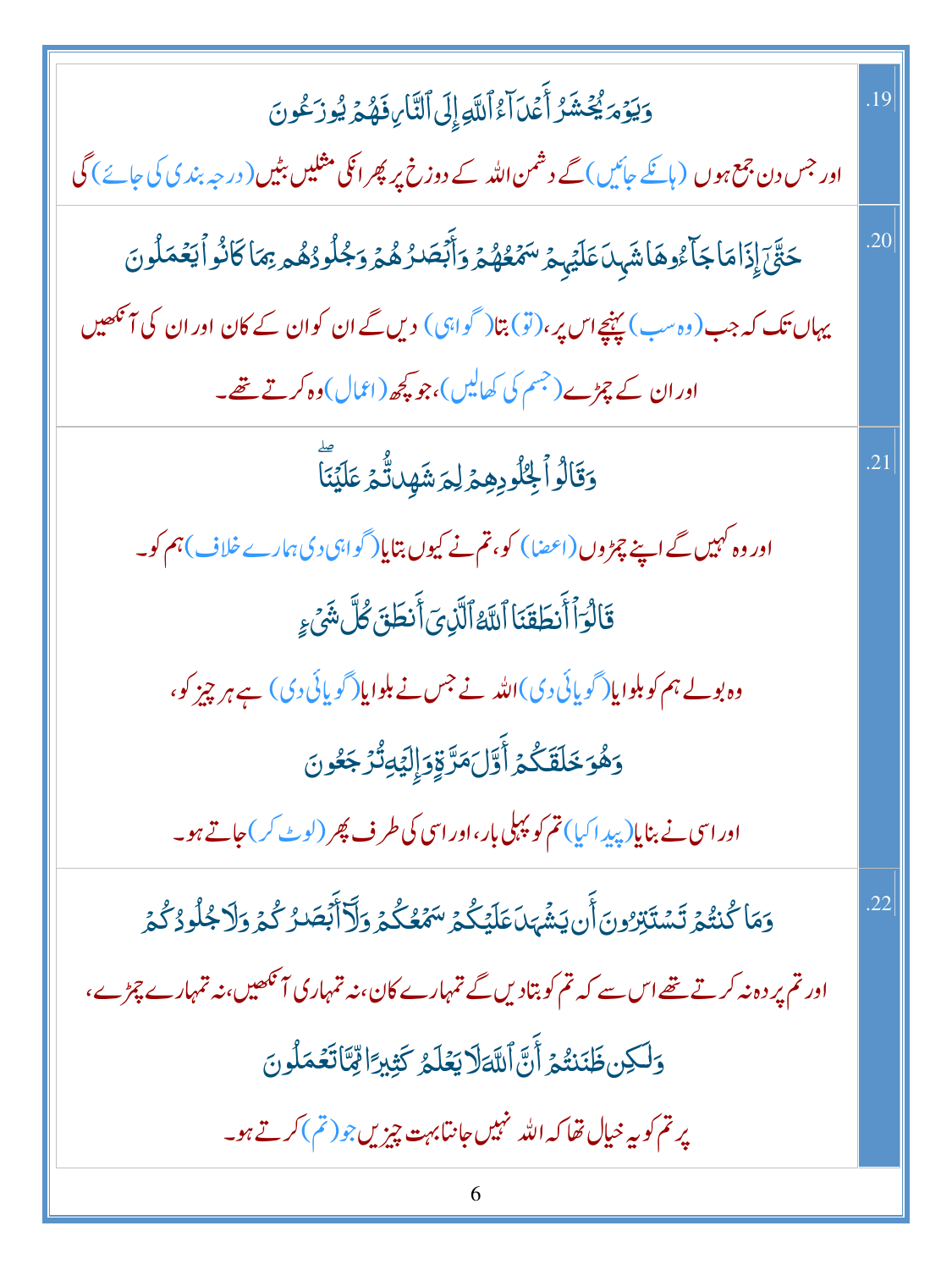| وَيَوۡمَ يُحۡشَرُ أَعۡدَآاَءُاللَّهِۚ إِلَى ٱلتَّارِ،فَهُمۡ يُورَكُونَ                                                               | .19 |
|--------------------------------------------------------------------------------------------------------------------------------------|-----|
| اور جس دن جمع ہوں (ہائکے جائیں) گے دشمن اللہ کے دوزخ پر پھر اٹکی مثلیں بٹیں( درجہ بند ی کی جائے ) گی                                 |     |
| <i>ڂۊ۠ٓ</i> ٙۘڹٙٳۣۮٙٳڡؘٵڿٲۦ۠ۏۿٲۺٞؠؚٮ <i>ٲ</i> ۼڷۑٟؽٙ <i>؆ۿٙڂ۠ۿ۠ۮٙ</i> ۯٲؖ <i>ڹ</i> ٙڞۮۿ۠ؽ۬ۯڂ۪ڵۏۮ۠ۿ۠ <sub>ڡ</sub> ؚ؋ڡؘٲػٲۮ۠ۏٲؾڠڡؘڵۏڽٙ | .20 |
| یہاں تک کہ جب(وہ سب) پہنچےاس پر،(تو) بتا( گواہی) دیں گے ان کوان کے کان اوران کی آنکھیں                                               |     |
| اور ان کے چڑے (جسم کی کھالیں)،جو پچھ (اعمال)وہ کرتے تھے۔                                                                             |     |
| وَقَالُواۡ لِخُلُورِهِمۡ لِمَ شَهِدَتُّمۡ عَلَيۡنَآ                                                                                  | .21 |
| اور وہ کہیں گے اپنے چمڑ وں (اعضا ) کو، تم نے کیوں بتایا(گواہی دی ہمارے خلاف )ہم کو۔                                                  |     |
| قَالُوَٱأَنطَقَنَا ٱللَّهُ ٱلَّذِىٓ أَنطَقَ كُلَّ شَىۡءٍ                                                                             |     |
| وہ بولے ہم کو بلوایا(گویائی دی)اللہ نے جس نے بلوایا(گویائی دی) ہے ہر چیز کو،                                                         |     |
| وَهُوَخَلَقَكُمُ أَوَّلَ مَرَّقِوَإِلِيَّهِ تُزْجَعُونَ                                                                              |     |
| اور اسی نے بنایا(پید اکیا) تم کو پہلی بار ،اور اسی کی طرف پھر (لوٹ کر) جاتے ہو۔                                                      |     |
| <u>و</u> َمَا كُنتُمۡ تَسۡتَبۡرُونَٲۜنۢ يَشۡهَا عَلَيۡكُمۡ سَمۡعُكُمۡ وَلَآأَبۡصَدُ كُمۡ وَلَا جُلُودُ كُمۡ                          | .22 |
| اور تم پر دہ نہ کرتے تھے اس سے کہ تم کو بتادیں گے تمہارے کان، نہ تمہاری آنکھیں، نہ تمہارے چڑے،                                       |     |
| وَلَكِن ظَنَنتُمُ أَنَّ التَّهَلَايَعُلَمُ كَثِيرًا تِّمَّاتَعُمَلُونَ                                                               |     |
| پرتم کو بہ خیال تھا کہ اللہ نہیں جانتا بہت چیزیں جو (تم) کرتے ہو۔                                                                    |     |
|                                                                                                                                      |     |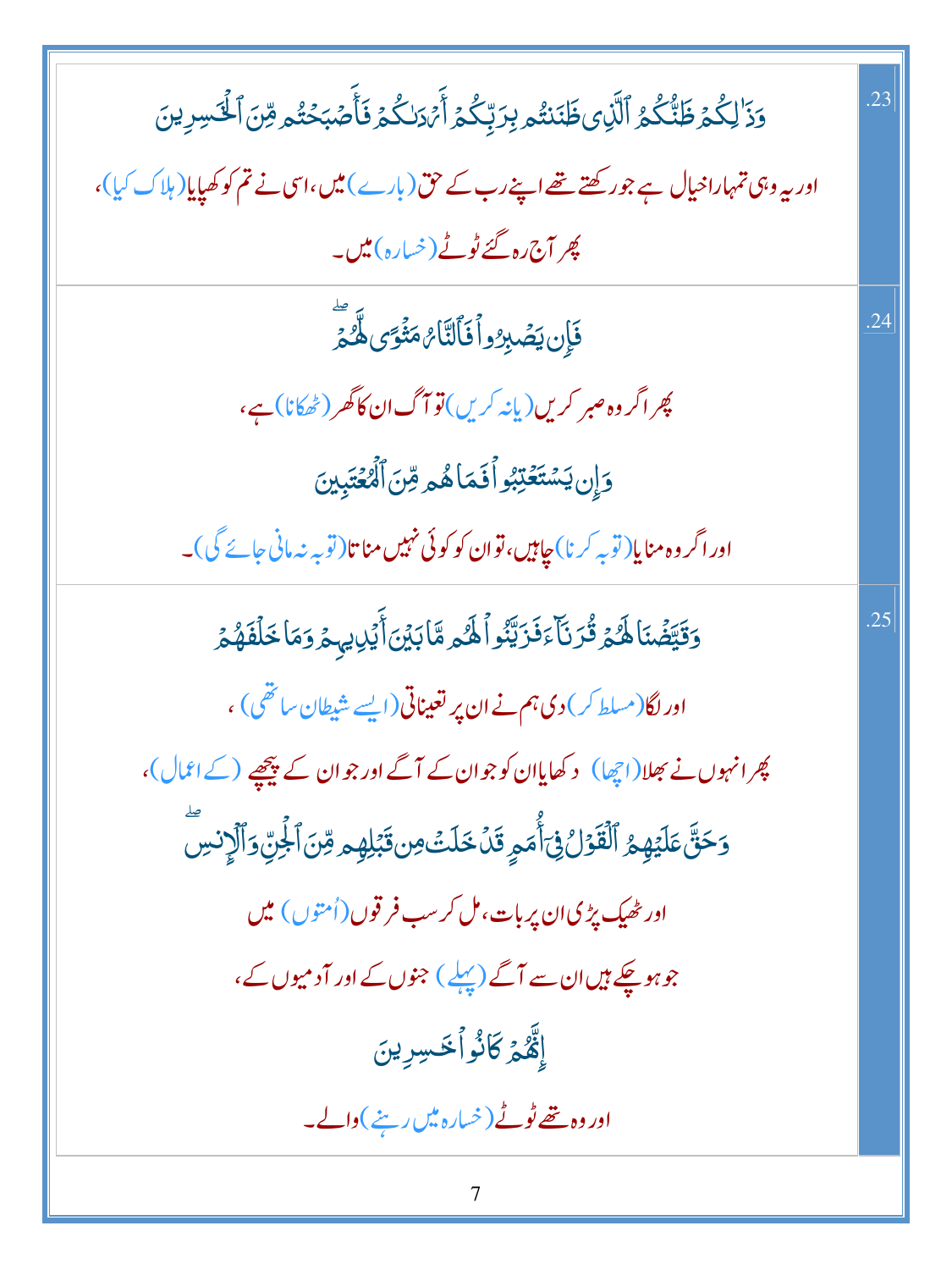| وَذَ <sup>ا</sup> لِكُمۡ ظَنَّكُمُ ٱلَّذِى ظَنَنتُم بِرَبِّكُمۡ أَيۡ دَلكُمۡ فَأَصۡبَحۡتُم مِّنَ ٱلۡٱسِرِينَ | .23 |
|--------------------------------------------------------------------------------------------------------------|-----|
| اور یہ وہی تمہاراخیال ہے جو رکھتے تھے اپنے رب کے حق(بارے) میں،اسی نے تم کو کھپایا(ہلاک کیا)،                 |     |
| پھر آج رہ گئے ٹوٹے (خسارہ) <b>میں۔</b>                                                                       |     |
| فَإِن يَصۡبِرُواۡفَأَلَتَّامُ مَثۡوَى لَهُ مَّ                                                               | .24 |
| پھر اگر وہ صبر کریں(یانہ کریں)قو آگ ان کاگھر (ٹھکانا) ہے،                                                    |     |
| وَإِن يَسْتَعْتِبُواْ فَمَاهُمْ قِنَ ٱلْمُعْتَبِينَ                                                          |     |
| اور اگر وہ منایا(توبہ کرنا)جاہیں،توان کو کوئی نہیں مناتا(توبہ نہ مانی جائے گی)۔                              |     |
| وَقَيَّضۡنَاۚ لَهُمۡ قُرَنَآ ۚ ذَرَيَّنُواۡ لَهُ مِمَّابَيۡنَ أَيۡلِايہِ مِرۡ وَمَا خَلۡفَهُمۡ               | .25 |
| اور لگا(مسلط کر) دی ہم نے ان پر تعیناتی(ایسے شیطان ساتھی) ،                                                  |     |
| پھرانہوں نے بھلا(اچھا) د کھایاان کوجوان کے آگے اور جوان کے پیچھپے (کے اعمال)،                                |     |
| وَحَقَّ عَلَيۡهِمُ ٱلۡقَوۡلُ فِىٓأَٰمَمِ قَلۡ خَلَتۡ مِن قَبۡلِهِم مِّنَ ٱلۡجِنِّ وَٱلۡإِنسِ                 |     |
| اور ٹھیک پڑی ان پر بات، مل کر سب فر قوں (اُمتوں) میں                                                         |     |
| جوہوچکے ہیں ان سے آگے (پہلے ) جنوں کے اور آدمیوں کے،                                                         |     |
| ٳڴٞ <i>۠ڡ۠</i> ۄٙ۫ػڶ۠ۏٱڂڛڔؠڹؘ                                                                                |     |
| اور وہ تھے ٹوٹے (خیارہ میں رہنے)والے۔                                                                        |     |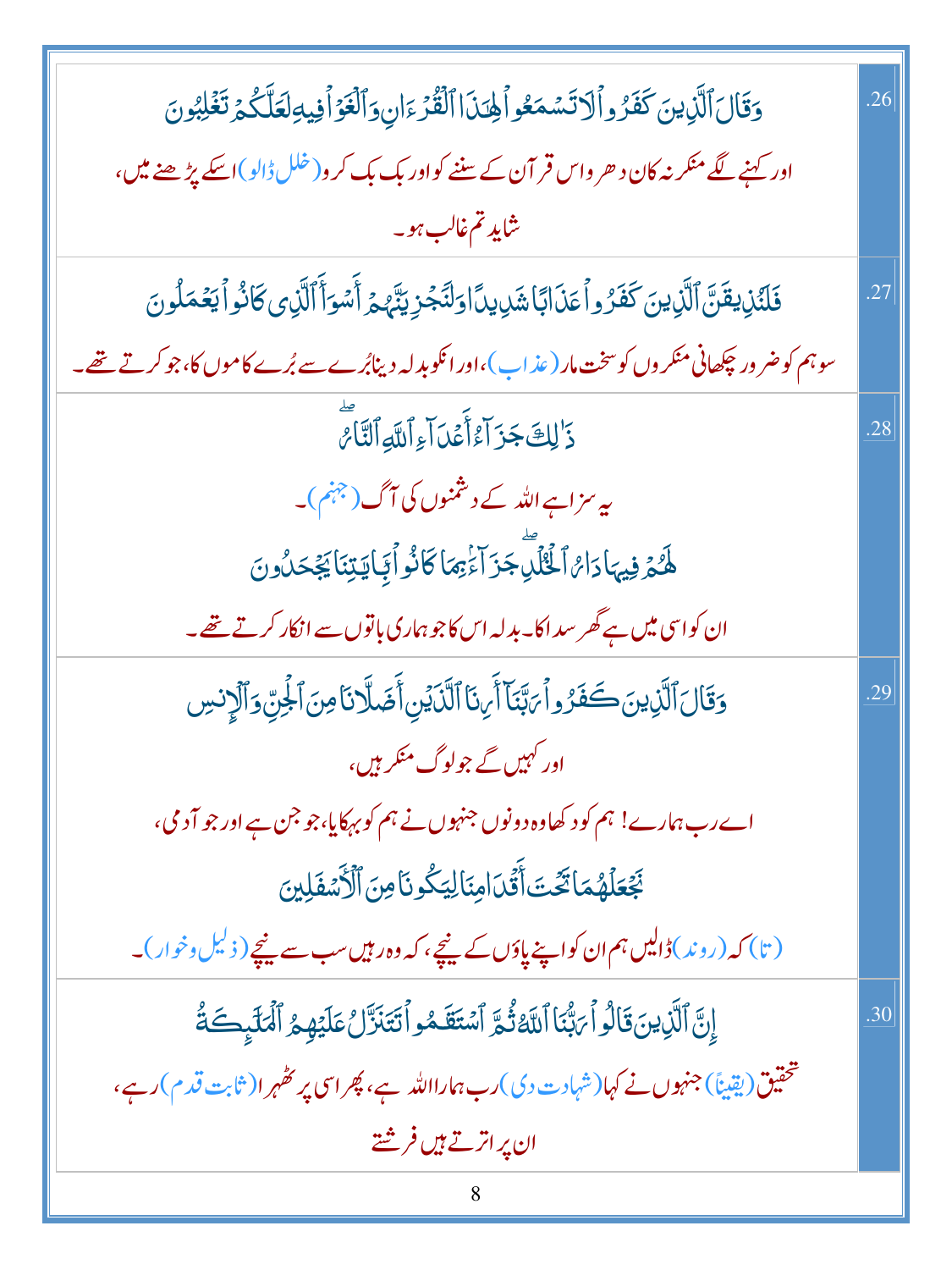| وَقَالَ ٱلَّذِينَ كَفَرُواْلاتَسْمَعُواْلِحِدَااالْقُرْءَانِ وَٱلْغَوْاْفِيهِ لَعَلَّكُمْ تَغْلِبُونَ          | .26 |
|----------------------------------------------------------------------------------------------------------------|-----|
| اور کہنے لگے منکر نہ کان د حر واس قر آن کے سننے کواور بک بک کر و( خلل ڈالو )اسکے پڑھنے میں،                    |     |
| شايد تم غالب <i>ہ</i> و۔                                                                                       |     |
| فَلَدُّنِ يقَنَّ ٱلَّذِينَ كَفَرُواْ عَذَابًاشَايِدَااوَلنَّجُزِيَنَّهُمْ أَسُوَأَٱلَّذِى كَانُواْ يَعُمَلُونَ | 27  |
| سوہم کو ضر ور چکھانی منکر وں کو سخت مار ( عذ اب )،اور انکو بدلہ دینابُرے سے بُرے کاموں کا،جو کرتے تھے۔         |     |
| دَ <sup>ا</sup> لِكَ جَزَ آءُ أَعُدَ آءِ ٱللَّهِ ٱلنَّامُ                                                      | .28 |
| یہ سزاہے اللہ کے دشمنوں کی آگ(جہنم)۔                                                                           |     |
| ۿ <i>ڰ</i> ۿ؋ۣڽؠٵۮؘٳ <sup>ۣ</sup> ؆ٲڂۘڷؚڷڽؖڿۯؘٳۧۦؚۢٛؿڡؘٳػٲڎ۠ۅٲڣ۪ٵؾؾڹٲؾۼؘڂڷؙۏڹ                                  |     |
| ان کواسی میں ہے گھر سداکا۔ بدلہ اس کاجو ہماری باتوں سے انکار کرتے تھے۔                                         |     |
| وَقَالَ ٱلَّذِينَ كَفَرُواً رَبَّنَاً أَرِنَا ٱلَّذَيۡنِ أَضَلَّانَا مِنَ ٱلْجَنِّ وَٱلۡإِنسِ                  | .29 |
| اور کہیں گے جولوگ منکر ہیں،                                                                                    |     |
| اے رب ہمارے! ہم کو د کھاوہ دونوں جنہوں نے ہم کو بہکایا،جو جن ہے اور جو آدمی،                                   |     |
| نَجُعَلَّهُمَا تَحَّتَ أَقَّلَ امِنَالِيَكُونَامِنَ ٱلْأَسْفَلِينَ                                             |     |
| (تا) کہ (روند)ڈالیں ہم ان کواپنے پاؤں کے نیچے، کہ وہ ر <del>ہ</del> یں سب سے نیچے ( ذ <sup>لی</sup> ل وخوار )۔ |     |
| إِنَّ ٱلَّذِينَ قَالُواْ بَبُّنَا ٱللَّهُ ثُمَّ ٱسۡتَقَمُواۡ لَتَنَزَّلُ عَلَيۡهِمُ ٱلۡمَلَٰٓىِكَةُ            | .30 |
| تحقیق(یقیناً) جنہوں نے کہا(شہادت دی)رب ہمارااللہ ہے، پھر اسی پر کھٰہر ا( ثابت قدم )رہے،                        |     |
| ان پر اترتے ہیں فر <u>شتے</u>                                                                                  |     |
|                                                                                                                |     |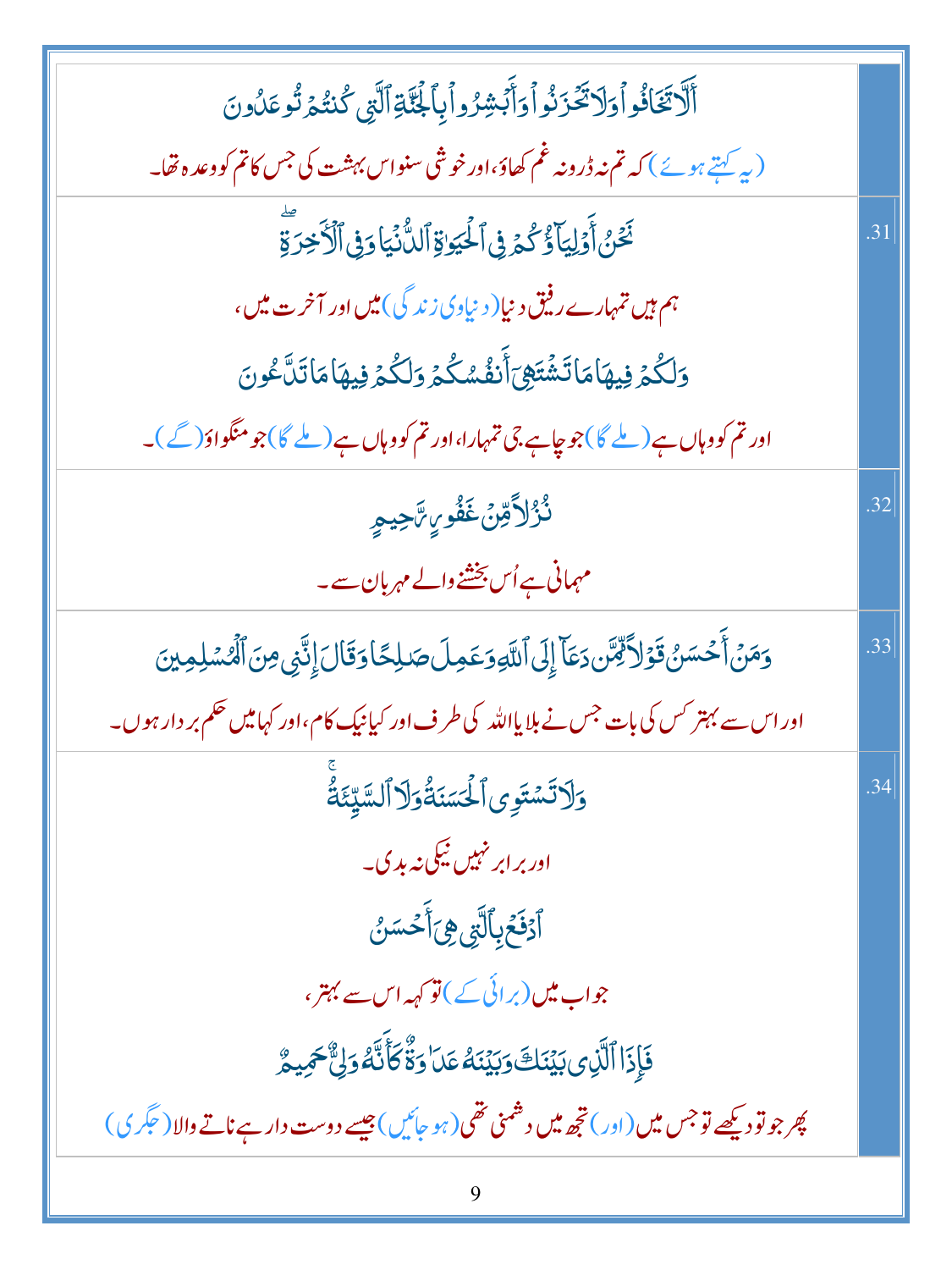| أَلَّا تَخَافُواْوَلَا تَحَزَنُواْوَأَبَشِرُواْبِاَلْجَنَّةِ ٱلَّتِي كُنتُمَ تُوعَلُونَ                         |     |
|-----------------------------------------------------------------------------------------------------------------|-----|
| (پہ کہتے ہوئے) کہ تم نہ ڈرونہ غم کھاؤ،اورخوشی سنواس بہشت کی جس کاتم کووعدہ تھا۔                                 |     |
| نَخَنُ أَوَلِيَاً وُّ كُمَرِ فِى ٱلْحُيَوٰةِ ٱلدُّنۡيَا وَفِى ٱلۡأَخِرَةِ                                       | .31 |
| ہم ہیں تمہارے رفیق دنیا( دنیاوی زندگی) میں اور آخرت میں،                                                        |     |
| <u>و</u> ٙڵػ۠ؽ <sub>۫</sub> ڣؽۿؘٲۿٲؾٙۺؘٛؾ <sub>ؖ</sub> ۿؾٲۧٮ۫ڡ۫۠ۺػۢؽ؏ۊڷػۮڟۣؽۿٲۿٲؾؘڷۜٷۛڽ                         |     |
| اور تم کو وہاں ہے( ملے گا)جو چاہے جی تمہارا،اور تم کو وہاں ہے( ملے گا)جو منگواؤ( گے )۔                          |     |
| <i>ۮ۠ۯ۠</i> ٳٲۊؚ <i>ٙڽ۫</i> ڠؘڨؙٛۅؠۣ؆ٙڿۑڡۭ                                                                      | .32 |
| مہمانی ہے اُس بخشنے والے مہربان سے۔                                                                             |     |
| وَمَنۡ أَحۡسَنُ قَوۡلاَ لِّمِّن دَعَآ إِلَى ٱللَّهِ وَعَمِلَ صَلِحًا وَقَالَ إِنَّنِي مِنَ ٱلۡمُسۡلِمِينَ       | .33 |
| اور اس سے بہتر <sup>کس</sup> کی بات <sup>جس</sup> نے بلایااللہ کی طرف اور کیانیک کام،اور کہامیں حکم بر دار ہوں۔ |     |
| وَلَاتَسْتَوِى ٱلْحَسَنَةُوَلَا ٱلسَّيِّئَةُ                                                                    | .34 |
| اور بر ابر نہیں نیکی نہ بد ک۔                                                                                   |     |
| ٱ <sub>ۮٙ</sub> ڡؘ <i>ڬ</i> ٙڔ۪ؠٱڷ <sub>ۜؿ</sub> ؈ۣٞٲۜڂۺڹ۠                                                      |     |
| جواب میں (برائی کے ) تو کہہ اس سے بہتر ،                                                                        |     |
| فَإِذَا ٱلَّذِى بَيۡنَكَ وَبَيۡنَهُ عَدَا وَةٌّ كَأَنَّهُ وَلِّ ۖ حَمِيمٌ                                       |     |
| پھر جو تو دیکھے تو جس میں (اور) تجھ میں دشمنی تھی(ہو جائیں) جیسے دوست دار ہے ناتے والا ( عَکَر ی )              |     |
|                                                                                                                 |     |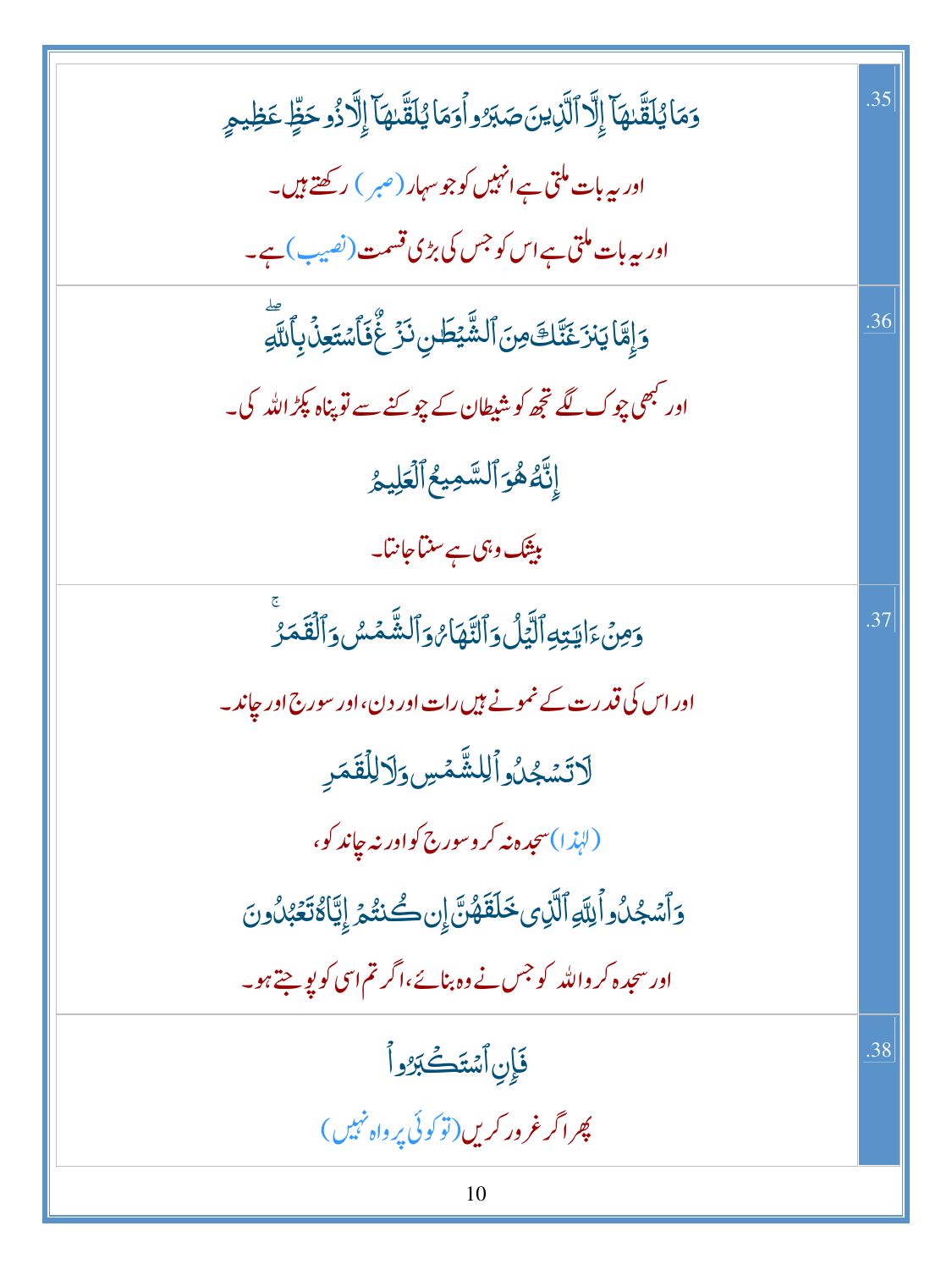| وَمَا يُلَقَّلهَآ إِلَّا ٱلَّذِينَ صَبَرُواۡوَمَا يُلَقَّلهَآ إِلَّا ذُوحَظٍّ عَظِيمٍ   | .35 |
|-----------------------------------------------------------------------------------------|-----|
| اور بیہ با <mark>ت م</mark> لتی ہے انہیں کو جو سہار (صبر ) رکھتے ہیں۔                   |     |
| اور بیہ بات ملتی ہے اس کو جس کی بڑی قسمت (نصیب ) ہے۔                                    |     |
| وَإِمَّا يَنْزَغَنَّكَ مِنَ ٱلشَّيْطَنِ نَزَعٌ فَأَسْتَعِنَٰ بِٱللَّهِ                  | .36 |
| اور <sup>کب</sup> ھی چوک لگے تجھ کو شیطان کے چو <sub>ک</sub> نے سے تو پناہ پکڑ اللہ کی۔ |     |
| إِنَّهُ هُوَ ٱلسَّمِيعُ ٱلۡعَلِيمُ                                                      |     |
| بی <del>ٹی</del> ک وہی ہے سنتا جانتا۔                                                   |     |
| <u>وَ</u> مِنۡءَايَتِهِٱلَّيَٰٓلُ وَٱلتَّهَاٰئِ وَٱلشَّمۡسُ وَٱلْقَمَرُ                 | .37 |
| اور اس کی قدرت کے نمونے <del>ہ</del> یں رات اور دن،اور سورج اور جاند۔                   |     |
| لَاتَسُجُلُواْلِلشَّمْسِ وَلَالِلْقَمَرِ                                                |     |
| (لېذا)سجده نه کروسورج کواور نه چاند کو،                                                 |     |
| وَٱسۡجُلُواۡ لِلَّهِ ٱلَّذِى خَلَقَهُنَّ إِن كُنتُمۡ إِيَّاٰ مُتَعَبُّلُونَ             |     |
| اور سجدہ کر واللہ کو جس نے وہ بنائے،اگر تم اسی کو پو جتے ہو۔                            |     |
| فَإِن ٱسْتَكَبَرُواً                                                                    | .38 |
| پھر اگر غرور کریں (توکوئی پر واہ نہیں)                                                  |     |
|                                                                                         |     |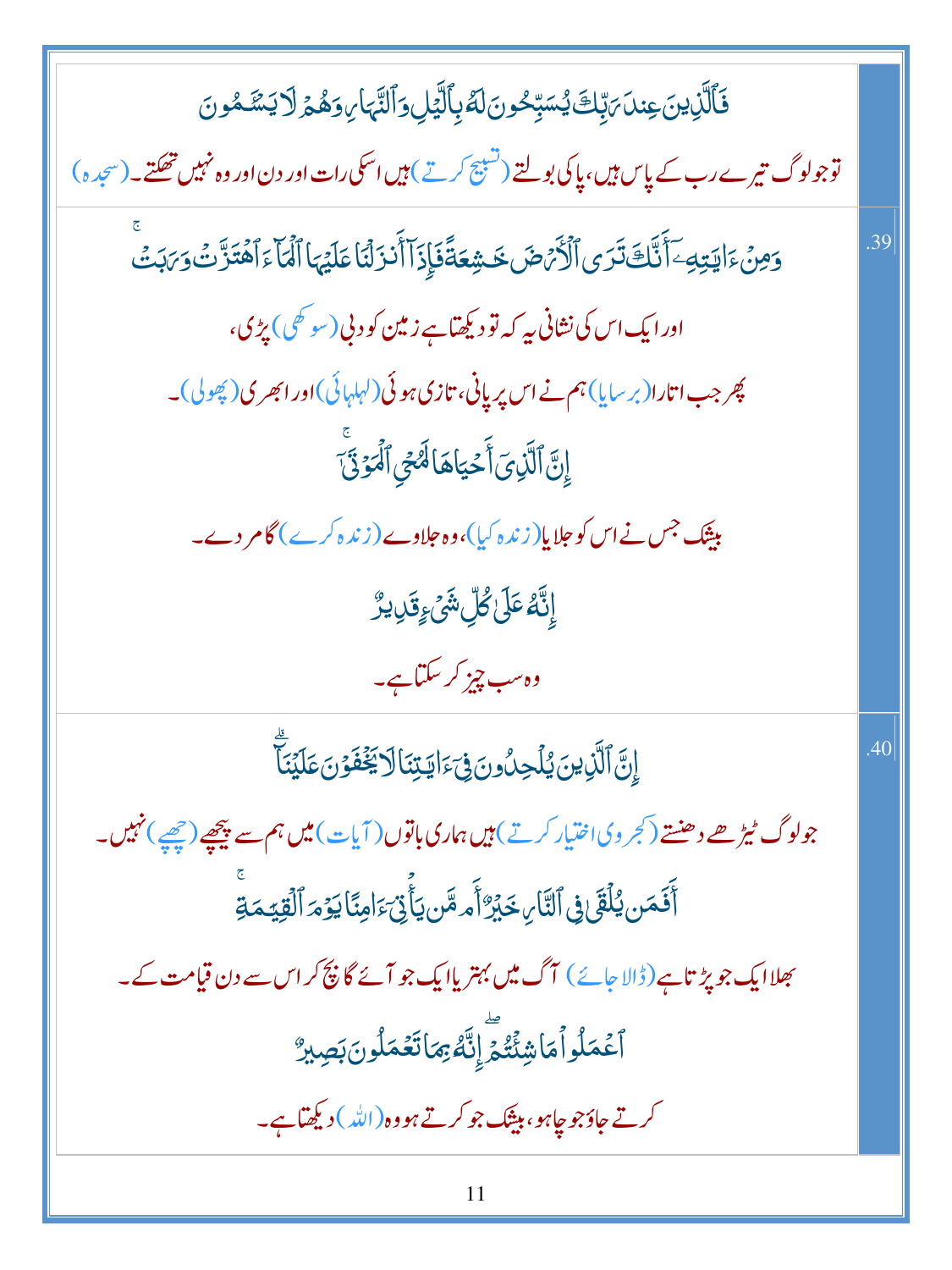فَٱلَّٰزِينَ عِندَ مَبِّكَ يُسَبِّحُونَ لَهُ بِٱلَّٰٓئِلِ وَٱلنَّهَا مِوَهُمۡ لَا يَسۡمُونَ توجولوگ تیرے رب کے پاس ہیں، پاکی بولتے (تسبیح کرتے) ہیں اسکی رات اور دن اور وہ نہیں تھکتے۔(سجدہ) <u>وَمِنۡ</u>ۦؘٳؾؾؚڮۦۜۤٲ۠ٮٚۘۜٙڬۘڐؘڗؽٲڷۘۯۢ*ؠٞٙڞ*ؘڂۺ*ۼڐٞ*ڣؘٳ۪ۮؘٳۜٲٲٛڹۯؘڷؽؘٳۼڶؽؠٵٲڷؙؠؘٳٙٵۿؘؾؘڒؖٮؾٛۅؘ*ڹ*ؘڹؾۨ۠ .39 اور ایک اس کی نشانی بی<sub>ہ</sub> کہ تو دیکھتاہے زمین کو دنی (سوٹھی) پڑی، چر جب اتارا(بر سایا) ہم نے اس پریانی، تازی ہوئی(لہلہائی)اور ابھری( پھولی)۔ إِنَّ ٱلَّذِىٓ أَحۡيَاهَالَهُمۡ ٱلۡمَوۡنَّىٰٓ میشک جس نے اس کو جلایا(زندہ کیا)،وہ حلاوے(زندہ کرے) گامر دے۔ ٳۣڹۜٙڡ۠ڡٙڸٙٙ؏ؗ۠ڵۺؘٛۦٟۊؘڸؠڒ۠ وہ سب چیز کر سکتاہے۔ ٳڹٞٳٱڷڕ۬ؾڹؘؽؙڶڿڹؗٛۏڹؘ؋ۣؠٙٵؾؾڹؘٳڶٳڮؘۼ۫ڣؘۯڹؘڡؘڶؽؘڹٙؖ .40 جولوگ ٹیڑھے دھنتے (کجر وی اختیار کرتے) ہیں ہماری باتوں ( آیات) میں ہم سے پیچھپے (چھپے) نہیں۔ ٲٛڣؘڡ<u>ٙ</u>ڹؠ۠ڶۘڠٙؽ؋۩ڵؾٞٲڕڂڹ<sub>ؖ</sub>ۯ۠ٲٛٙ؞ڡٙؓڹ؏ؘٲٚؿ*؞ٙ*ٳڡڹٙۢٲێۏ*ٙ*؞ٙٱڷڤؚێڡؘڐؚۨ بھلاایک جو پڑتاہے(ڈالا جائے) آگ میں بہتر یاایک جو آئے گا پیچ کر اس سے دن قیامت کے۔ ٱعۡڡَلُواۡڡَاشِئۡتُمۡٓ إِنَّهُۥۡ مِمَاتَعۡمَلُونَ بَصِيرٌ کرتے جاؤجو جاہو، بیثک جو کرتے ہو وہ(اللہ )دیکھیاہے۔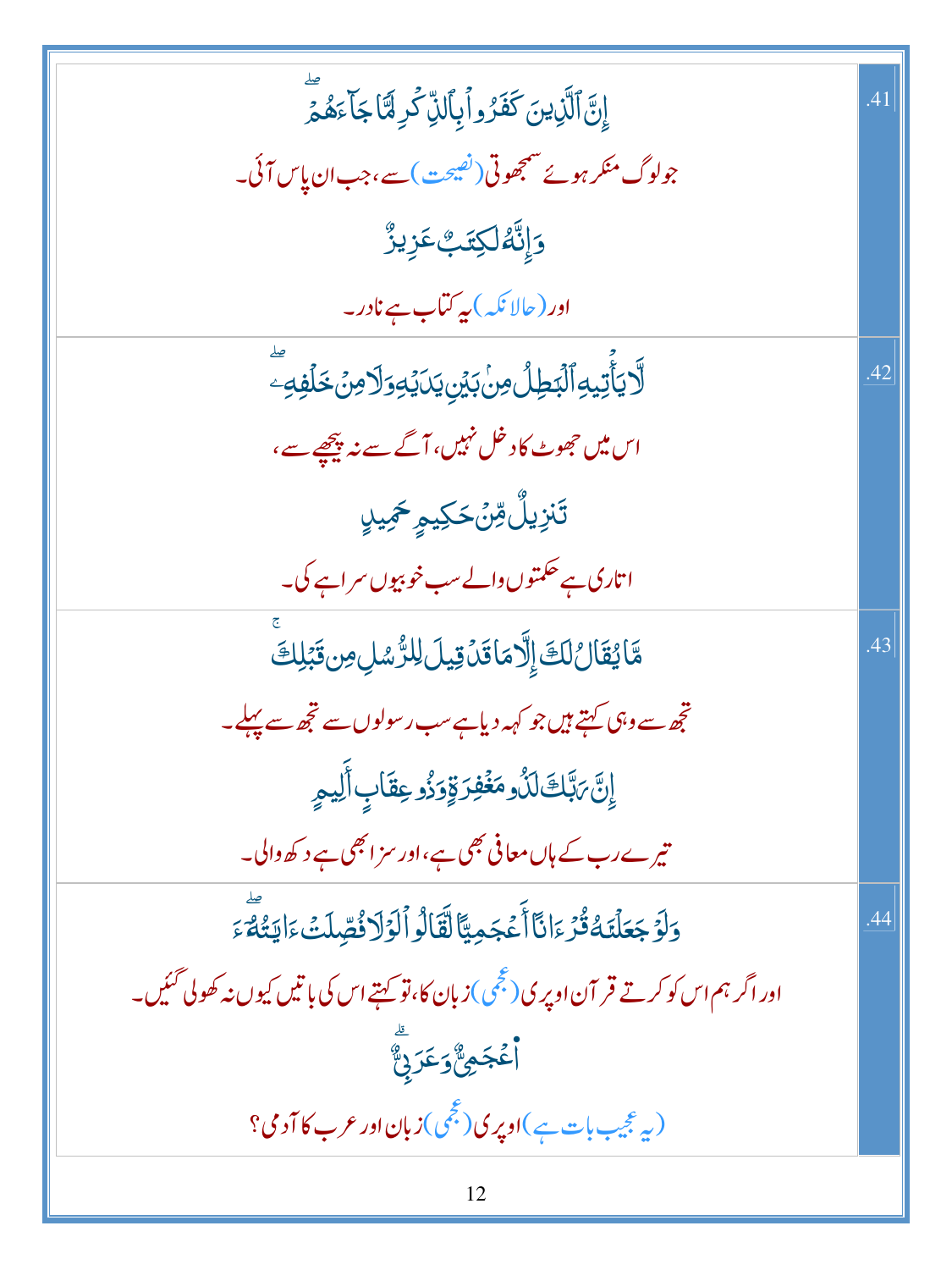| إِنَّ ٱلَّذِينَ كَفَرُواْ بِٱلذِّكْرِ لَّمَا جَاَءَهُمْ                                     |     |
|---------------------------------------------------------------------------------------------|-----|
| جولوگ منکر ہوئے منتجھوتی(نص <u>یحت) سے</u> ،جب ان پاس آئی۔                                  |     |
| ۏٳؚڹؓڡ۠ڶڮؾٙٮ۪۠ٷؚڹڒ۠                                                                         |     |
| اور (حالانکہ) پہ کتاب ہے نادر۔                                                              |     |
| ڷۜٲؠؘٲؚ۠ؾؠٵؚٱڷڹڟٟڷ؈ؚڹؗڹؽڹۣؾڹؽڡۣٷڷٳڝۛ۫ڂۘڶڣؚڡؚۜ                                               | .42 |
| اس میں حجوے کا دخل نہیں، آگے سے نہ پیچھے سے،                                                |     |
| ؚڐؘ <i>ڹۯؚ</i> ؠڵ۠ <i>؋ؚڽ۫ڂ</i> ڮؠۄؚڂ <i>ڮ</i> ۑٳ                                           |     |
| اتاری ہے حکمتوں دالے سب خوبیوں سراہے گی۔                                                    |     |
| مَّايُقَالُلَكَ إِلَّا مَاقَدۡ قِيلَ لِلرُّسُلِ مِن قَبَلِكَ                                | .43 |
| تچھ سے وہی کہتے ہیں جو کہہ دیاہے سب ر سولوں سے تچھ سے پہلے۔                                 |     |
| ٳؚڹؖٞ؆ڹَۜڮڷڷؙۯڡڬؘڣؚۯۊٟٚۯؘۯ۠ۅعؚڦؘٲڹؚۣٲڵؙؚڸڡۭ                                                 |     |
| تیرے رب کے ہاں معافی بھی ہے،اور سز ابھی ہے د کھ والی۔                                       |     |
| وَلَوَجَعَلَنَهُ قُرَّءَانَا أَعْجَمِيًّا لَقَالُواْلَوْلَا فُصِّلَتْءَايَتُهُ ءَ           | 44  |
| اور اگر ہم اس کو کرتے قر آن اوپر پی(مجّمی )زبان کا،نوٓ کہتے اس کی باتیں کیوں نہ کھولی گئیں۔ |     |
| .<br><b>أَعۡجَمِیٌّوَعَرَبِ</b> یٌ                                                          |     |
| (په عجیب بات ہے)اوپری(عجمی)زبان اور عرب کا آدمی؟                                            |     |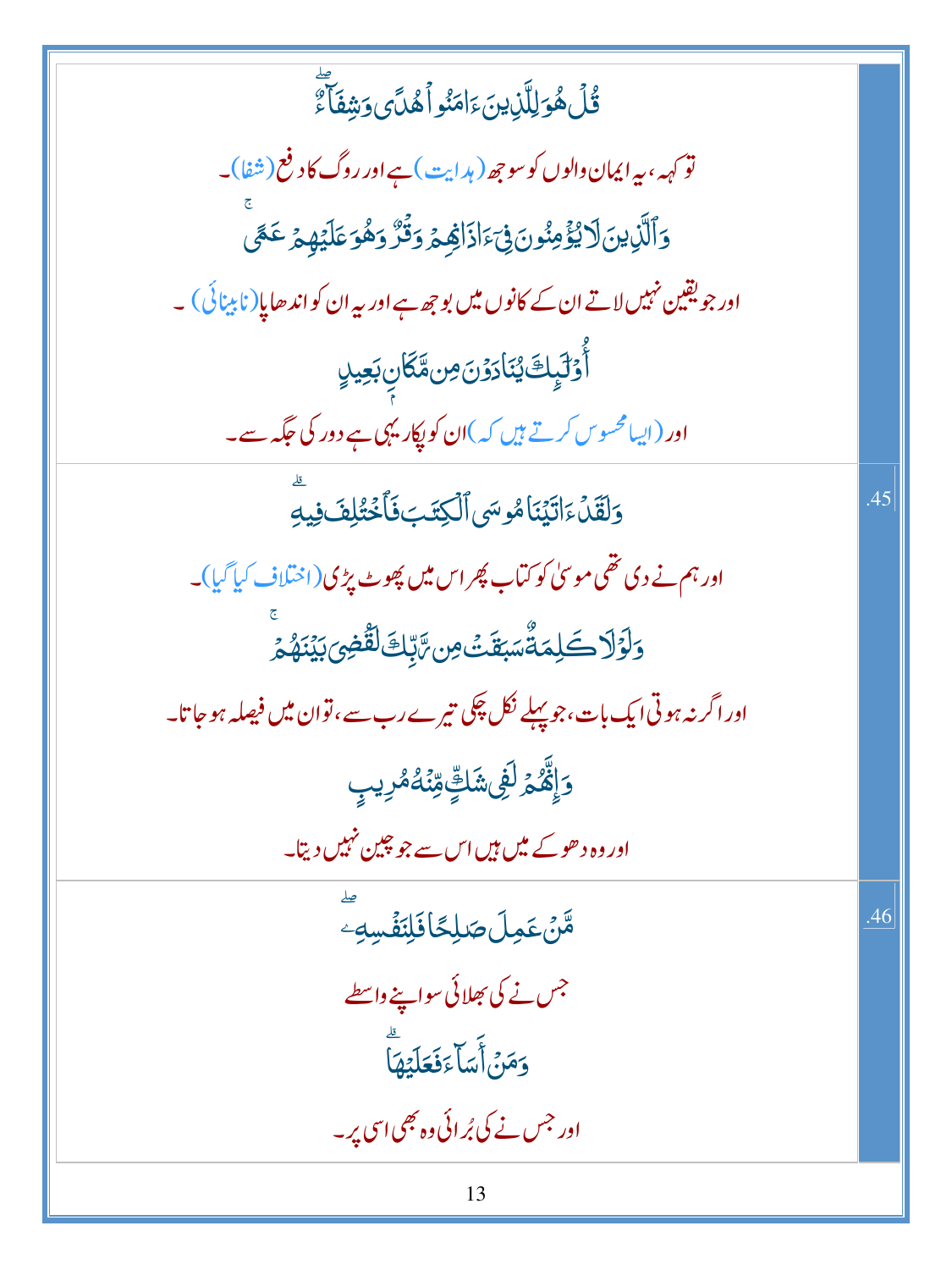| ٙ<br>ۊ۠ڷۿۏڶؚڵؖڶؚ <i>ٳؽؾؘ</i> ٵؘڡؘڹ۠ۅٲۿڷ <i>ؽ</i> ۅؘۺۣڡؘؘٲؖۦٚٛ                                |     |
|----------------------------------------------------------------------------------------------|-----|
| تو <sub>ک</sub> ہہ، بیرا یمان والوں کو سو جھ ( ہد <sub>ایت</sub> ) ہے اور روگ کا د فع( شفا)۔ |     |
| <u>و</u> َٱلَّذِينَ۞لَايُؤۡمِنُونَۚ فِيَٓءَاذَاهِمۡ وَقُرَّ وَهُوَعَلَيۡهِمۡ عَمَّى          |     |
| اور جویقین نہیں لاتے ان کے کانوں میں بو جھ ہے اور پہ ان کو اند ھایا( نابینائی ) ۔            |     |
| ؚٲؙٚۏ <i>ٙ</i> ڷۑٟڮٙێٛڹؘٳۮۯڽؘ؈ۿػٵڹۣ <mark>ڹ<sup>ۣ</sup>ٙ</mark> ۼۑڵٟ                         |     |
| اور (ایبامحسوس کرتے ہیں کہ)ان کو پکار یہی ہے دور کی جگہ سے۔                                  |     |
| وَلَقَلْءَاتَيْنَامُوسَى ٱلْكِتَبَ فَأَخْتُلِفَ فِيهِ                                        | .45 |
| اور ہم نے دی تھی موسیٰ کو کتاب پھر اس میں پھوٹ پڑی(اختلاف کیا گیا)۔                          |     |
| <u>ۅٙڶۏٙڷٳڂڶ</u> ؚؠٙڐٞۺڹڠٙٮ <i>ؘٞ</i> ؈؆ڹ۪ۜڮٙڷڦٞڞؚؽڹؽؘڹۿ؞ؚ                                   |     |
| اور اگر نہ ہوتی ایک بات،جو پہلے نکل چکی تیرے رب سے،توان میں فیصلہ ہو جا تا۔                  |     |
| <b>ۯٳۨۿؓۮ</b> ڶڣؽۺؘڮٟۨڡؚڹٙ <i>ٞ</i> ڷڡ۠ڔؠٮؚٟ                                                 |     |
| اور وہ د ھوکے میں ہیں اس سے جو چین نہیں دیتا۔                                                |     |
| ۿ <i>ۜٙڽٛ</i> ؏ <u>ؘ</u> ڝڶ <del>ڞ</del> ڸڴٲڣؘڸڹؘڡٛ۬ڛ <i>ڢ</i>                               | .46 |
| جس نے کی بھلائی سواینے واسطے                                                                 |     |
| وَمَنْ أَسَاءَفَعَلَيْهَا                                                                    |     |
| اور جس نے کی بُرائی وہ بھی اسی پر۔                                                           |     |
| 13                                                                                           |     |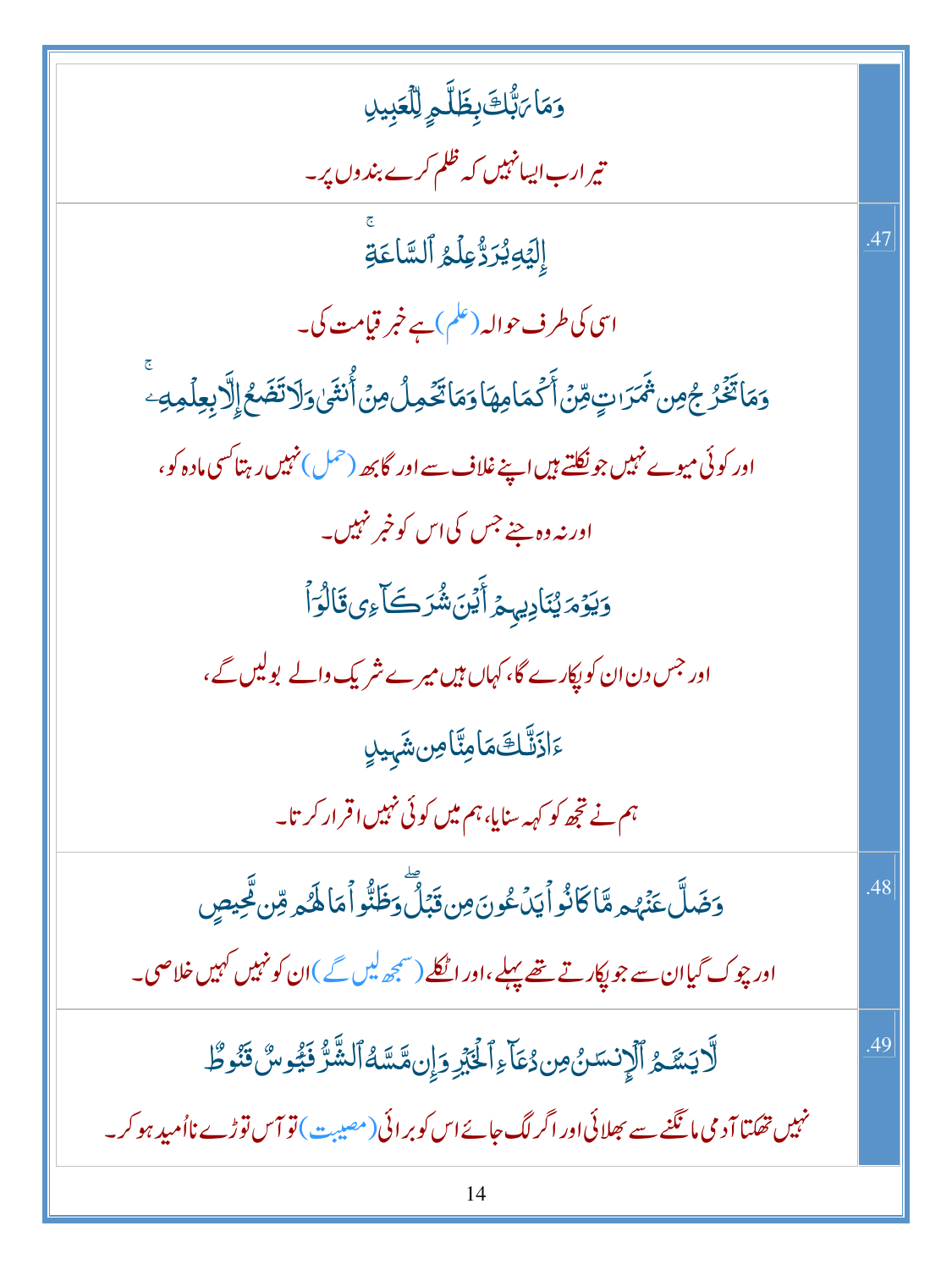وَمَا بَ<sup>ا</sup>بُّكَ بِظَلَّمِ لِلْعَبِيلِ تیر ارب ایسانہیں کہ ظلم کرے بند وں پر۔ إِلَيۡهِیُرَدُّعِلۡمُ ٱلسَّاعَةِ .47 اسی کی طرف حوالہ (علم) ہے خبر قیامت کی۔ <u>و</u>َمَاتَّخَّرُ جُمِن ثَمَرَاتٍ *وِّنْ* أَكْمَامِهَا وَمَاتَّخُمِلُ مِنْ أُنثَىٰ وَلَاتَضَعُ إِلَّا بِعِلْمِهِ ۖ اور کوئی میوے نہیں جو نکلتے ہیں اپنے غلاف سے اور گابھ (حمل) نہیں رہتا کسی مادہ کو، اور نہ وہ جنے جس کی اس کو خبر نہیں۔ وَيَؤْمَ يُنَادِيهِمْ أَيُنَ شُرَكَى إِي قَالُوَاً اور جس دن ان کو پکارے گا، کہاں ہیں میرے شریک والے بولیں گے، ءَاذَنَّكَ مَامِنَّا مِن شَهيدِ ہم نے تجھ کو کہہ سنایا، ہم میں کوئی نہیں اقرار کر تا۔ دَضَلَّ عَنْهُ هِ مَّا كَانُواْ يَدْعُونَ مِن قَبَلَّ دَظَنُّواْ مَا لَهُ هِ مِّن تَحِيصِ .48 اور چوک گیاان سے جو پکارتے <del>تھے پہ</del>لے ،اور اٹکلے (سمجھ <sup>لی</sup>ں گے )ان کو نہیں کہیں خلاصی۔ لَّايَسَّمُ ٱلْإِنسَنُ مِن دُعَاءِ ٱلْخَبْرِ وَإِن مَّسَّهُ ٱلشَّرَّ فَيُوسٌ قَنُوطٌ .49 نہیں تھکتا آدمی**،ا** نگنے سے بھلائی اور اگر لگ جائے اس کو بر ائی(مصیبت) تو آس توڑے نااُمید ہو کر۔ 14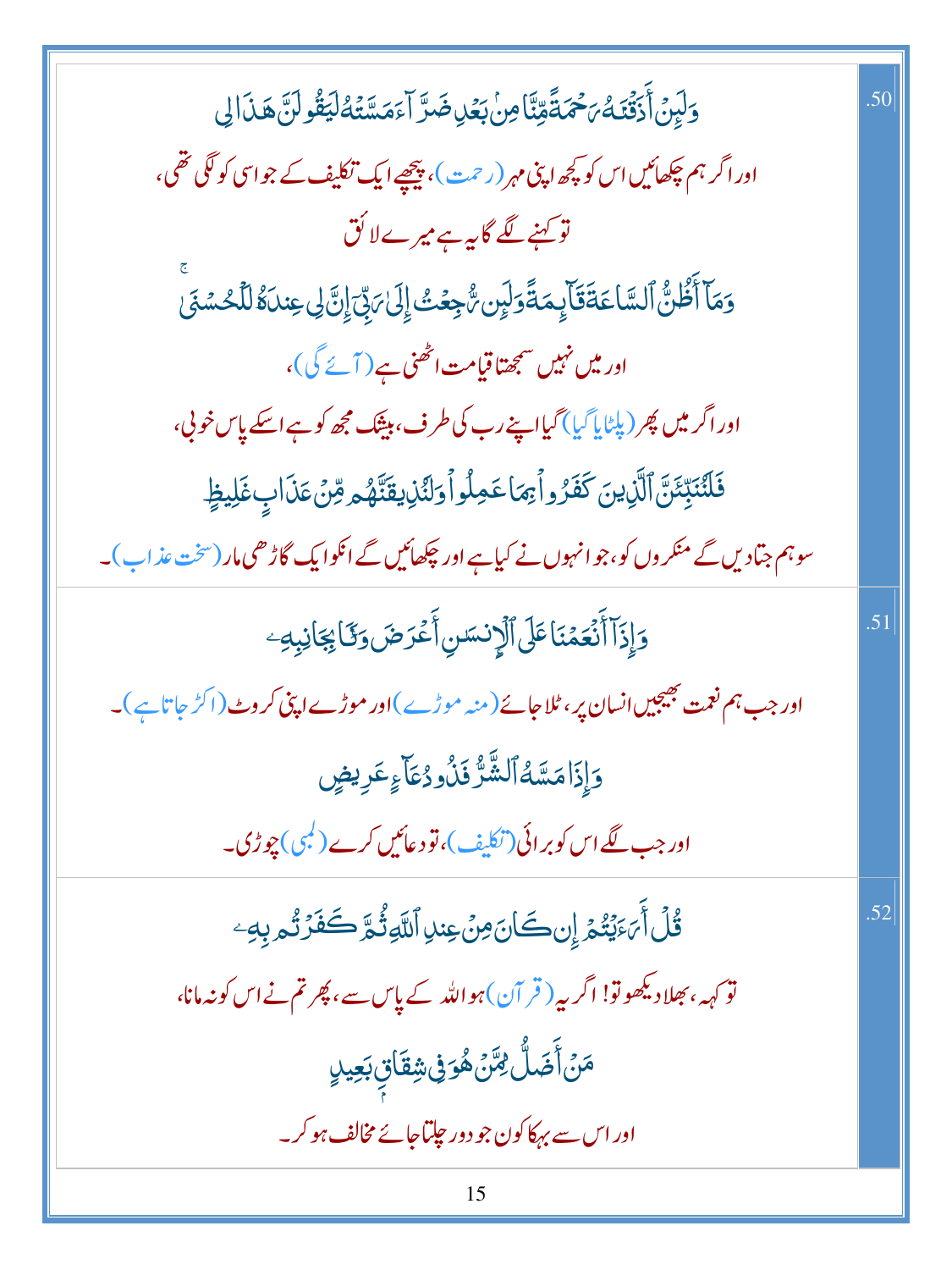| وَلَبِنَ أَذَقَّنَكُمَ حَمَّةً مِّنَّا مِنْ بَعُلِ ضَرَّ آءَ مَسَّتُهُ لَيَقُولَنَّ هَذَا لِي       | .50 |
|-----------------------------------------------------------------------------------------------------|-----|
| اور اگر ہم چکھائیں اس کو کچھ اپنی مہر (رحمت )، پیچھپے ایک تکلیف کے جو اسی کو لگی تھی،               |     |
| تو کہنے لگے گا <sub>پیہ</sub> ہے میرےلا کُق                                                         |     |
| وَمَآ أَظُنُّ ٱلسَّاعَةَقَآلِهَمَةًوَلَيِن تُّجِعُتُ إِلَىٰٓ مَنِّيَ إِنَّ لِى عِندَهُ لِلَّحُسُنَى |     |
| اور میں نہیں سمجھتاقیامت اٹھنی ہے ( آئے گی )،                                                       |     |
| اور اگر میں پھر (پلٹا پآ گیا) گیااپنے رب کی طرف، بیثک مجھ کو ہے اسکے پاس خونی،                      |     |
| فَلَنُنَبِّئَنَّ ٱلَّزِينَ كَفَرُواْبِهَا عَمِلُواْ وَلَنُزِيقَنَّهُمْ مِّنۡ عَذَابٍ غَلِيظٍ        |     |
| سوہم جتادیں گے منکروں کو، جوانہوں نے کیاہے اور چکھائیں گے انکوایک گاڑھی مار (سخت عذاب)۔             |     |
| وَإِذَآ أَنۡعَمۡنَاعَلَى ٱلۡإِنسَسِ أَعۡرَضَ وَكَائِجَانِبِهِۦ                                      | .51 |
| اور جب ہم نعمت بھیجیں انسان پر ، ٹلا جائے( منہ موڑے )اور موڑے اپنی کر وٹ ( اکڑ جا تا ہے )۔          |     |
| وَإِذَامَسَّهُٱلشَّرُّ فَلُودُعَآءٍعَرِيضٍ                                                          |     |
| اور جب لگے اس کو بر ائی (تکلیف)، تو د عائیں کرے ( <sup>لی</sup> می) چوڑی.                           |     |
| <b>قُلْ أَىَءَيْتُمْ إِن كَانَ مِنْ عِندِ اللَّهِ ثُمَّ كَفَرْتُم بِهِ وَ</b>                       | .52 |
| تو <sub>کہہ</sub> ، بھلادیکھوتو! اگر بیہ ( قر آن) ہو اللہ کے پاس سے ، پھر تم نے اس کو نہ مانا،      |     |
| ڡؘڽۡٲؘۻٙڵ۠ <i>؋ڐٞ</i> ۣۿۘۏڧۣۺۣڦؘٵۊؚۣڹ <i>ۘۼ</i> ٟۑڸٟ                                                |     |
| اور اس سے بہکاکون جو دور چلتاجائے مخالف ہو کر۔                                                      |     |
|                                                                                                     |     |